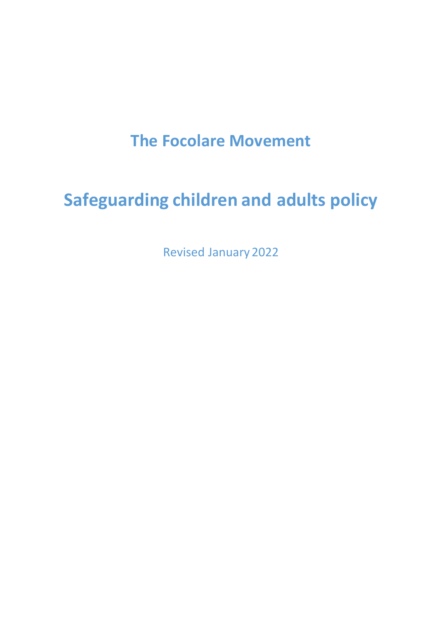## **The Focolare Movement**

# **Safeguarding children and adults policy**

Revised January 2022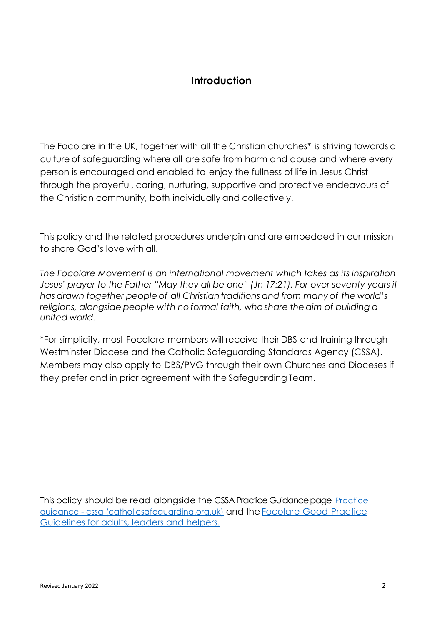## **Introduction**

The Focolare in the UK, together with all the Christian churches\* is striving towards a culture of safeguarding where all are safe from harm and abuse and where every person is encouraged and enabled to enjoy the fullness of life in Jesus Christ through the prayerful, caring, nurturing, supportive and protective endeavours of the Christian community, both individually and collectively.

This policy and the related procedures underpin and are embedded in our mission to share God's love with all.

*The Focolare Movement is an international movement which takes as its inspiration Jesus' prayer to the Father "May they all be one" (Jn 17:21). For over seventy years it has drawn together people of all Christiantraditions and from many of the world's religions, alongside people with no formal faith, who share the aim of building a united world.*

\*For simplicity, most Focolare members will receive their DBS and training through Westminster Diocese and the Catholic Safeguarding Standards Agency (CSSA). Members may also apply to DBS/PVG through their own Churches and Dioceses if they prefer and in prior agreement with the Safeguarding Team.

This policy should be read alongside the CSSA Practice Guidance page [Practice](about:blank)  guidance - [cssa \(catholicsafeguarding.org.uk\)](about:blank) and the [Focolare](about:blank) Good Practice Guidelines [for adults, leaders and](about:blank) helpers.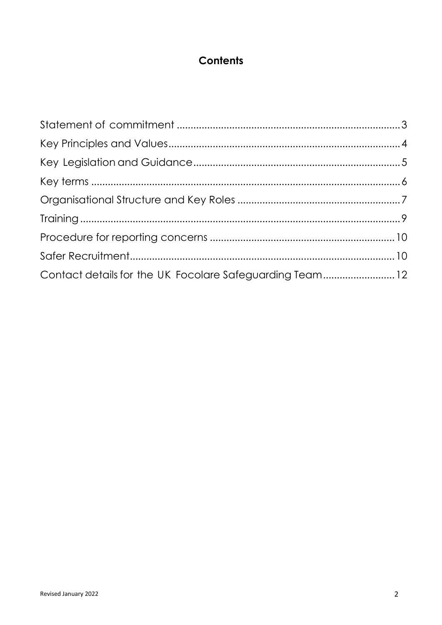## **Contents**

| Contact details for the UK Focolare Safeguarding Team12 |  |
|---------------------------------------------------------|--|
|                                                         |  |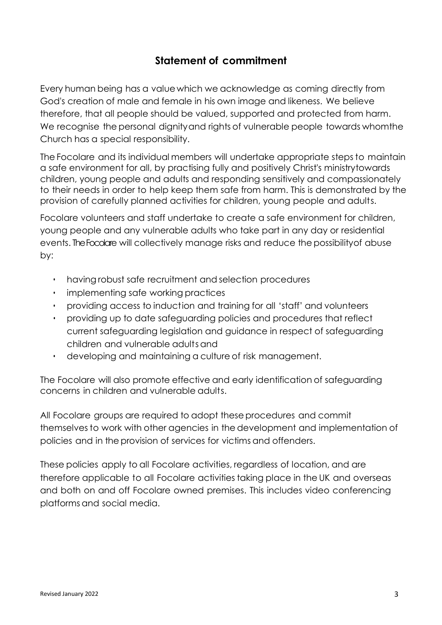## **Statement of commitment**

<span id="page-3-0"></span>Every human being has a value which we acknowledge as coming directly from God's creation of male and female in his own image and likeness. We believe therefore, that all people should be valued, supported and protected from harm. We recognise the personal dignityand rights of vulnerable people towards whom the Church has a special responsibility.

The Focolare and its individual members will undertake appropriate steps to maintain a safe environment for all, by practising fully and positively Christ's ministrytowards children, young people and adults and responding sensitively and compassionately to their needs in order to help keep them safe from harm. This is demonstrated by the provision of carefully planned activities for children, young people and adults.

Focolare volunteers and staff undertake to create a safe environment for children, young people and any vulnerable adults who take part in any day or residential events. The Focolare will collectively manage risks and reduce thepossibilityof abuse by:

- having robust safe recruitment and selection procedures
- implementing safe working practices
- providing access to induction and training for all 'staff' and volunteers
- providing up to date safeguarding policies and procedures that reflect current safeguarding legislation and guidance in respect of safeguarding children and vulnerable adultsand
- developing and maintaining a culture of risk management.

The Focolare will also promote effective and early identification of safeguarding concerns in children and vulnerable adults.

All Focolare groups are required to adopt these procedures and commit themselves to work with other agencies in the development and implementation of policies and in theprovision of services for victims and offenders.

These policies apply to all Focolare activities, regardless of location, and are therefore applicable to all Focolare activities taking place in the UK and overseas and both on and off Focolare owned premises. This includes video conferencing platforms and social media.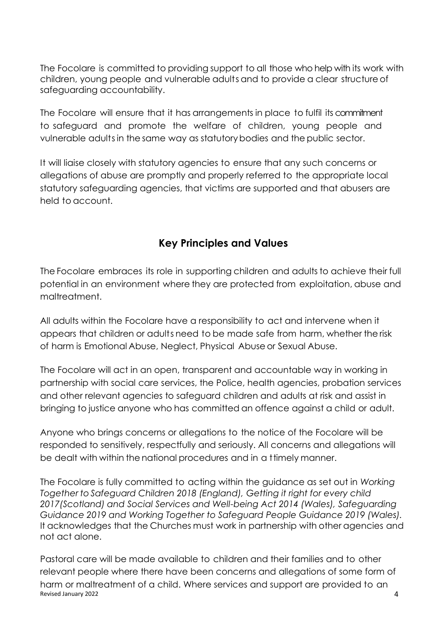The Focolare is committed to providing support to all those who help with its work with children, young people and vulnerable adults and to provide a clear structureof safeguarding accountability.

The Focolare will ensure that it has arrangements in place to fulfil its commitment to safeguard and promote the welfare of children, young people and vulnerable adultsin the same way as statutorybodies and the public sector.

It will liaise closely with statutory agencies to ensure that any such concerns or allegations of abuse are promptly and properly referred to the appropriate local statutory safeguarding agencies, that victims are supported and that abusers are held to account.

## **Key Principles and Values**

<span id="page-4-0"></span>The Focolare embraces its role in supporting children and adults to achieve their full potential in an environment where they are protected from exploitation, abuse and maltreatment.

All adults within the Focolare have a responsibility to act and intervene when it appears that children or adults need to be made safe from harm, whether the risk of harm is Emotional Abuse, Neglect, Physical Abuse or Sexual Abuse.

The Focolare will act in an open, transparent and accountable way in working in partnership with social care services, the Police, health agencies, probation services and other relevant agencies to safeguard children and adults at risk and assist in bringing to justice anyone who has committed an offence against a child or adult.

Anyone who brings concerns or allegations to the notice of the Focolare will be responded to sensitively, respectfully and seriously. All concerns and allegations will be dealt with within the national procedures and in a ttimely manner.

The Focolare is fully committed to acting within the guidance as set out in *Working Together to Safeguard Children 2018 (England), Getting it right for every child 2017(Scotland) and Social Services and Well-being Act 2014 (Wales), Safeguarding Guidance 2019 and Working Together to Safeguard People Guidance 2019 (Wales).* It acknowledges that the Churches must work in partnership with other agencies and not act alone.

Revised January 2022 2008 and the state of the state of the state of the state of the state of the state of the state of the state of the state of the state of the state of the state of the state of the state of the state Pastoral care will be made available to children and their families and to other relevant people where there have been concerns and allegations of some form of harm or maltreatment of a child. Where services and support are provided to an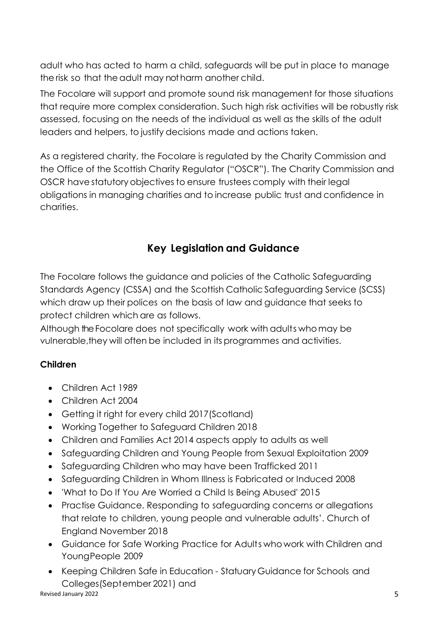adult who has acted to harm a child, safeguards will be put in place to manage the risk so that the adult may not harm another child.

The Focolare will support and promote sound risk management for those situations that require more complex consideration. Such high risk activities will be robustly risk assessed, focusing on the needs of the individual as well as the skills of the adult leaders and helpers, to justify decisions made and actions taken.

As a registered charity, the Focolare is regulated by the Charity Commission and the Office of the Scottish Charity Regulator ("OSCR"). The Charity Commission and OSCR have statutory objectives to ensure trustees comply with their legal obligations in managing charities and to increase public trust and confidence in charities.

## **Key Legislation and Guidance**

<span id="page-5-0"></span>The Focolare follows the guidance and policies of the Catholic Safeguarding Standards Agency (CSSA) and the Scottish Catholic Safeguarding Service (SCSS) which draw up their polices on the basis of law and guidance that seeks to protect children which are as follows.

Although the Focolare does not specifically work with adults whomay be vulnerable, they will often be included in its programmes and activities.

## **Children**

- Children Act 1989
- Children Act 2004
- Getting it right for every child 2017(Scotland)
- Working Together to Safeguard Children 2018
- Children and Families Act 2014 aspects apply to adults as well
- Safeguarding Children and Young People from Sexual Exploitation 2009
- Safeguarding Children who may have been Trafficked 2011
- Safeguarding Children in Whom Illness is Fabricated or Induced 2008
- 'What to Do If You Are Worried a Child Is Being Abused' 2015
- Practise Guidance. Responding to safeguarding concerns or allegations that relate to children, young people and vulnerable adults'. Church of England November 2018
- Guidance for Safe Working Practice for Adults who work with Children and Young People 2009
- Revised January 2022 5 • Keeping Children Safe in Education - Statuary Guidance for Schools and Colleges(September 2021) and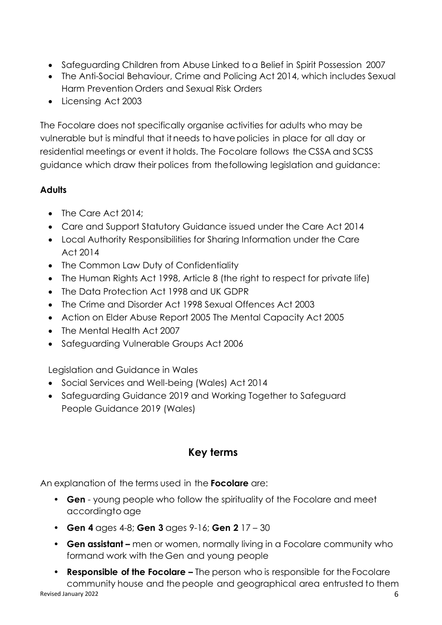- Safeguarding Children from Abuse Linked to a Belief in Spirit Possession 2007
- The Anti-Social Behaviour, Crime and Policing Act 2014, which includes Sexual Harm Prevention Orders and Sexual Risk Orders
- Licensing Act 2003

The Focolare does not specifically organise activities for adults who may be vulnerable but is mindful that itneeds to havepolicies in place for all day or residential meetings or event it holds. The Focolare follows the CSSA and SCSS guidance which draw their polices from the following legislation and guidance:

#### **Adults**

- The Care Act 2014:
- Care and Support Statutory Guidance issued under the Care Act 2014
- Local Authority Responsibilities for Sharing Information under the Care Act 2014
- The Common Law Duty of Confidentiality
- The Human Rights Act 1998, Article 8 (the right to respect for private life)
- The Data Protection Act 1998 and UK GDPR
- The Crime and Disorder Act 1998 Sexual Offences Act 2003
- Action on Elder Abuse Report 2005 The Mental Capacity Act 2005
- The Mental Health Act 2007
- Safeguarding Vulnerable Groups Act 2006

Legislation and Guidance in Wales

- Social Services and Well-being (Wales) Act 2014
- Safeguarding Guidance 2019 and Working Together to Safeguard People Guidance 2019 (Wales)

## <span id="page-6-0"></span>**Key terms**

An explanation of the terms used in the **Focolare** are:

- **Gen**  young people who follow the spirituality of the Focolare and meet accordingto age
- **Gen 4** ages 4-8; **Gen 3** ages 9-16; **Gen 2** 17 30
- **Gen assistant –** men or women, normally living in a Focolare community who formand work with the Gen and young people
- Revised January 2022 6 • **Responsible of the Focolare** – The person who is responsible for the Focolare community house and the people and geographical area entrusted to them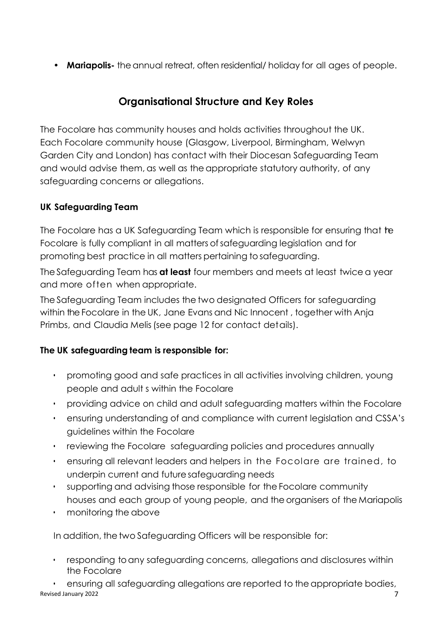• Mariapolis-the annual retreat, often residential/ holiday for all ages of people.

## **Organisational Structure and Key Roles**

<span id="page-7-0"></span>The Focolare has community houses and holds activities throughout the UK. Each Focolare community house (Glasgow, Liverpool, Birmingham, Welwyn Garden City and London) has contact with their Diocesan Safeguarding Team and would advise them, as well as the appropriate statutory authority, of any safeguarding concerns or allegations.

#### **UK Safeguarding Team**

The Focolare has a UK Safeguarding Team which is responsible for ensuring that the Focolare is fully compliant in all matters of safeguarding legislation and for promoting best practice in all matters pertaining to safeguarding.

TheSafeguarding Team has **at least** four members and meets at least twice a year and more often when appropriate.

The Safeguarding Team includes the two designated Officers for safeguarding within the Focolare in the UK, Jane Evans and Nic Innocent , together with Anja Primbs, and Claudia Melis(see page 12 for contact details).

#### **The UK safeguarding team is responsible for:**

- promoting good and safe practices in all activities involving children, young people and adult s within the Focolare
- providing advice on child and adult safeguarding matters within the Focolare
- ensuring understanding of and compliance with current legislation and CSSA's guidelines within the Focolare
- reviewing the Focolare safeguarding policies and procedures annually
- ensuring all relevant leaders and helpers in the Focolare are trained, to underpin current and futuresafeguarding needs
- supporting and advising those responsible for the Focolare community houses and each group of young people, and the organisers of the Mariapolis
- monitoring the above

In addition, the two Safeguarding Officers will be responsible for:

• responding to any safeguarding concerns, allegations and disclosures within the Focolare

Revised January 2022 **7** and 2022 **7** and 2022 **7** and 2022 **7** and 2022 **7** and 2022 **7** and 2022 **7** and 2022 **7** and 2022 **7** and 2022 **7** and 2022 **7** and 2022 **7** and 2022 **7** and 2022 **7** and 2022 **7** and 2022 **7** an • ensuring all safeguarding allegations are reported to the appropriate bodies,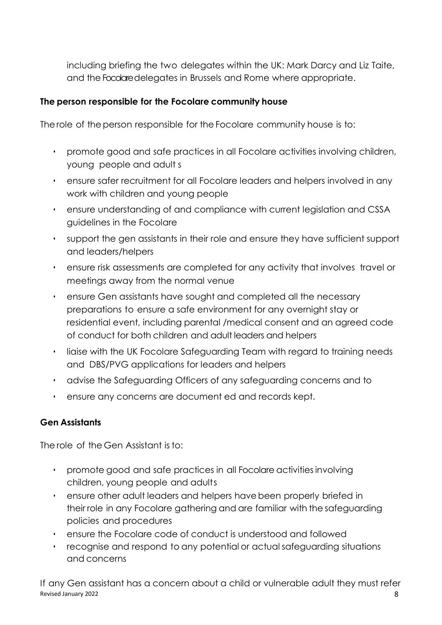including briefing the two delegates within the UK: Mark Darcy and Liz Taite, and the Focolare delegates in Brussels and Rome where appropriate.

#### **The person responsible for the Focolare community house**

The role of the person responsible for the Focolare community house is to:

- promote good and safe practices in all Focolare activities involving children, young people and adult s
- ensure safer recruitment for all Focolare leaders and helpers involved in any work with children and young people
- ensure understanding of and compliance with current legislation and CSSA guidelines in the Focolare
- support the gen assistants in their role and ensure they have sufficient support and leaders/helpers
- ensure risk assessments are completed for any activity that involves travel or meetings away from the normal venue
- ensure Gen assistants have sought and completed all the necessary preparations to ensure a safe environment for any overnight stay or residential event, including parental /medical consent and an agreed code of conduct for both children and adult leaders and helpers
- liaise with the UK Focolare Safeguarding Team with regard to training needs and DBS/PVG applications for leaders and helpers
- advise the Safeguarding Officers of any safeguarding concerns and to
- ensure any concerns are document ed and records kept.

#### **Gen Assistants**

The role of the Gen Assistant is to:

- promote good and safe practices in all Focolare activitiesinvolving children, young people and adults
- ensure other adult leaders and helpers havebeen properly briefed in their role in any Focolare gathering and are familiar with the safeguarding policies and procedures
- ensure the Focolare code of conduct is understood and followed
- recognise and respond to any potential or actual safeguarding situations and concerns

Revised January 2022 8 If any Gen assistant has a concern about a child or vulnerable adult they must refer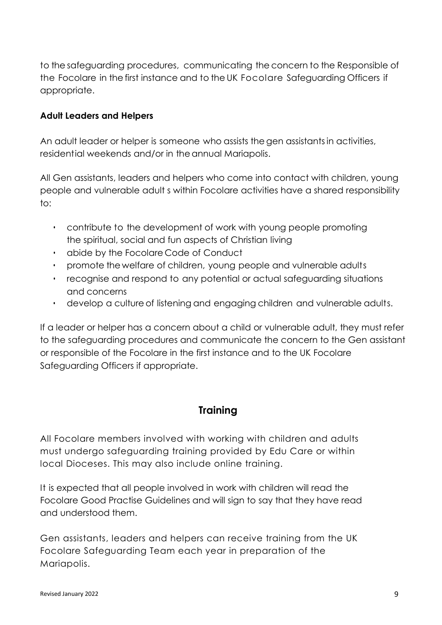to the safeguarding procedures, communicating the concern to the Responsible of the Focolare in the first instance and to the UK Focolare Safeguarding Officers if appropriate.

#### **Adult Leaders and Helpers**

An adult leader or helper is someone who assists the gen assistantsin activities, residential weekends and/or in the annual Mariapolis.

All Gen assistants, leaders and helpers who come into contact with children, young people and vulnerable adult s within Focolare activities have a shared responsibility to:

- contribute to the development of work with young people promoting the spiritual, social and fun aspects of Christian living
- abide by the Focolare Code of Conduct
- promote the welfare of children, young people and vulnerable adults
- recognise and respond to any potential or actual safeguarding situations and concerns
- develop a culture of listening and engaging children and vulnerable adults.

If a leader or helper has a concern about a child or vulnerable adult, they must refer to the safeguarding procedures and communicate the concern to the Gen assistant or responsible of the Focolare in the first instance and to the UK Focolare Safeguarding Officers if appropriate.

### **Training**

<span id="page-9-0"></span>All Focolare members involved with working with children and adults must undergo safeguarding training provided by Edu Care or within local Dioceses. This may also include online training.

It is expected that all people involved in work with children will read the Focolare Good Practise Guidelines and will sign to say that they have read and understood them.

Gen assistants, leaders and helpers can receive training from the UK Focolare Safeguarding Team each year in preparation of the Mariapolis.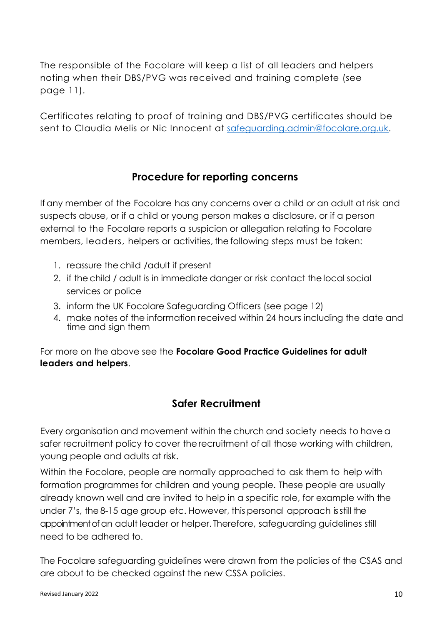The responsible of the Focolare will keep a list of all leaders and helpers noting when their DBS/PVG was received and training complete (see page 11).

Certificates relating to proof of training and DBS/PVG certificates should be sent to Claudia Melis or Nic Innocent at [safeguarding.admin@focolare.org.uk.](about:blank)

## **Procedure for reporting concerns**

<span id="page-10-0"></span>If any member of the Focolare has any concerns over a child or an adult at risk and suspects abuse, or if a child or young person makes a disclosure, or if a person external to the Focolare reports a suspicion or allegation relating to Focolare members, leaders, helpers or activities, thefollowing steps must be taken:

- 1. reassure thechild /adult if present
- 2. if thechild / adult is in immediate danger or risk contact thelocal social services or police
- 3. inform the UK Focolare Safeguarding Officers (see page 12)
- 4. make notes of the information received within 24 hours including the date and time and sign them

For more on the above see the **Focolare Good Practice Guidelines for adult leaders and helpers**.

## **Safer Recruitment**

<span id="page-10-1"></span>Every organisation and movement within the church and society needs to have a safer recruitment policy to cover therecruitment of all those working with children, young people and adults at risk.

Within the Focolare, people are normally approached to ask them to help with formation programmes for children and young people. These people are usually already known well and are invited to help in a specific role, for example with the under 7's, the 8-15 age group etc. However, this personal approach is still the appointment of an adult leader or helper. Therefore, safeguarding guidelines still need to be adhered to.

The Focolare safeguarding guidelines were drawn from the policies of the CSAS and are about to be checked against the new CSSA policies.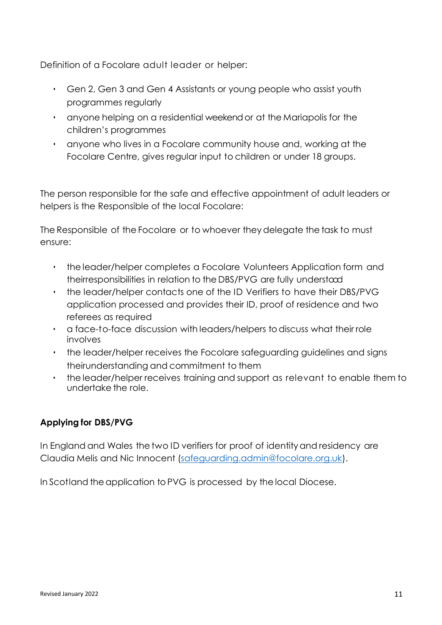Definition of a Focolare adult leader or helper:

- Gen 2, Gen 3 and Gen 4 Assistants or young people who assist youth programmes regularly
- anyone helping on a residential weekend or at the Mariapolis for the children's programmes
- anyone who lives in a Focolare community house and, working at the Focolare Centre, gives regular input to children or under 18 groups.

The person responsible for the safe and effective appointment of adult leaders or helpers is the Responsible of the local Focolare:

The Responsible of the Focolare or to whoever theydelegate the task to must ensure:

- the leader/helper completes a Focolare Volunteers Application form and theirresponsibilities in relation to the DBS/PVG are fully understood
- the leader/helper contacts one of the ID Verifiers to have their DBS/PVG application processed and provides their ID, proof of residence and two referees as required
- a face-to-face discussion with leaders/helpers todiscuss what their role involves
- the leader/helper receives the Focolare safeguarding guidelines and signs theirunderstanding and commitment to them
- the leader/helper receives training and support as relevant to enable them to undertake the role.

#### **Applying for DBS/PVG**

In England and Wales the two ID verifiers for proof of identityand residency are Claudia Melis and Nic Innocent [\(safeguarding.admin@focolare.org.uk\)](about:blank).

In Scotland the application to PVG is processed by the local Diocese.